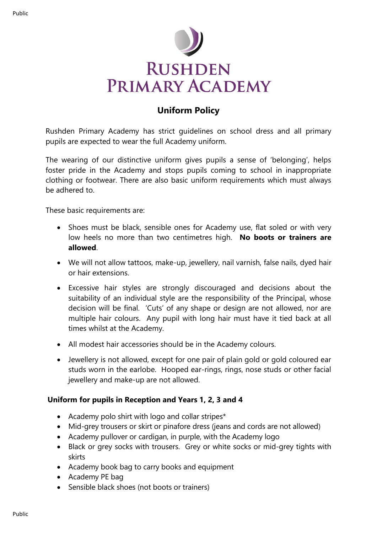

## **Uniform Policy**

Rushden Primary Academy has strict guidelines on school dress and all primary pupils are expected to wear the full Academy uniform.

The wearing of our distinctive uniform gives pupils a sense of 'belonging', helps foster pride in the Academy and stops pupils coming to school in inappropriate clothing or footwear. There are also basic uniform requirements which must always be adhered to.

These basic requirements are:

- Shoes must be black, sensible ones for Academy use, flat soled or with very low heels no more than two centimetres high. **No boots or trainers are allowed**.
- We will not allow tattoos, make-up, jewellery, nail varnish, false nails, dyed hair or hair extensions.
- Excessive hair styles are strongly discouraged and decisions about the suitability of an individual style are the responsibility of the Principal, whose decision will be final. 'Cuts' of any shape or design are not allowed, nor are multiple hair colours. Any pupil with long hair must have it tied back at all times whilst at the Academy.
- All modest hair accessories should be in the Academy colours.
- Jewellery is not allowed, except for one pair of plain gold or gold coloured ear studs worn in the earlobe. Hooped ear-rings, rings, nose studs or other facial jewellery and make-up are not allowed.

## **Uniform for pupils in Reception and Years 1, 2, 3 and 4**

- Academy polo shirt with logo and collar stripes\*
- Mid-grey trousers or skirt or pinafore dress (jeans and cords are not allowed)
- Academy pullover or cardigan, in purple, with the Academy logo
- Black or grey socks with trousers. Grey or white socks or mid-grey tights with skirts
- Academy book bag to carry books and equipment
- Academy PE bag
- Sensible black shoes (not boots or trainers)